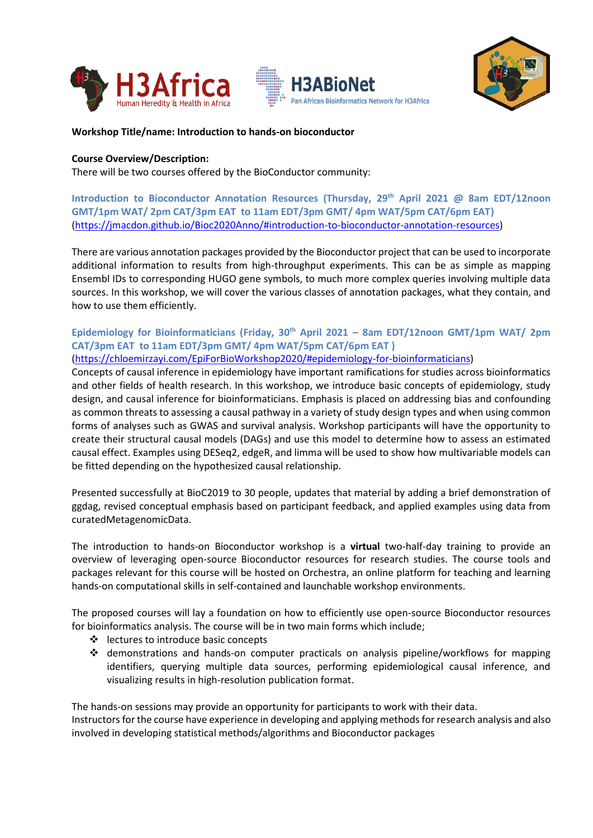





# **Workshop Title/name: Introduction to hands-on bioconductor**

## **Course Overview/Description:**

There will be two courses offered by the BioConductor community:

**Introduction to Bioconductor Annotation Resources (Thursday, 29th April 2021 @ 8am EDT/12noon GMT/1pm WAT/ 2pm CAT/3pm EAT to 11am EDT/3pm GMT/ 4pm WAT/5pm CAT/6pm EAT)** [\(https://jmacdon.github.io/Bioc2020Anno/#introduction-to-bioconductor-annotation-resources\)](https://jmacdon.github.io/Bioc2020Anno/#introduction-to-bioconductor-annotation-resources)

There are various annotation packages provided by the Bioconductor project that can be used to incorporate additional information to results from high-throughput experiments. This can be as simple as mapping Ensembl IDs to corresponding HUGO gene symbols, to much more complex queries involving multiple data sources. In this workshop, we will cover the various classes of annotation packages, what they contain, and how to use them efficiently.

# **Epidemiology for Bioinformaticians (Friday, 30th April 2021 – 8am EDT/12noon GMT/1pm WAT/ 2pm CAT/3pm EAT to 11am EDT/3pm GMT/ 4pm WAT/5pm CAT/6pm EAT )**

[\(https://chloemirzayi.com/EpiForBioWorkshop2020/#epidemiology-for-bioinformaticians\)](https://chloemirzayi.com/EpiForBioWorkshop2020/#epidemiology-for-bioinformaticians)

Concepts of causal inference in epidemiology have important ramifications for studies across bioinformatics and other fields of health research. In this workshop, we introduce basic concepts of epidemiology, study design, and causal inference for bioinformaticians. Emphasis is placed on addressing bias and confounding as common threats to assessing a causal pathway in a variety of study design types and when using common forms of analyses such as GWAS and survival analysis. Workshop participants will have the opportunity to create their structural causal models (DAGs) and use this model to determine how to assess an estimated causal effect. Examples using DESeq2, edgeR, and limma will be used to show how multivariable models can be fitted depending on the hypothesized causal relationship.

Presented successfully at BioC2019 to 30 people, updates that material by adding a brief demonstration of ggdag, revised conceptual emphasis based on participant feedback, and applied examples using data from curatedMetagenomicData.

The introduction to hands-on Bioconductor workshop is a **virtual** two-half-day training to provide an overview of leveraging open-source Bioconductor resources for research studies. The course tools and packages relevant for this course will be hosted on Orchestra, an online platform for teaching and learning hands-on computational skills in self-contained and launchable workshop environments.

The proposed courses will lay a foundation on how to efficiently use open-source Bioconductor resources for bioinformatics analysis. The course will be in two main forms which include;

- ❖ lectures to introduce basic concepts
- ❖ demonstrations and hands-on computer practicals on analysis pipeline/workflows for mapping identifiers, querying multiple data sources, performing epidemiological causal inference, and visualizing results in high-resolution publication format.

The hands-on sessions may provide an opportunity for participants to work with their data. Instructors for the course have experience in developing and applying methods for research analysis and also involved in developing statistical methods/algorithms and Bioconductor packages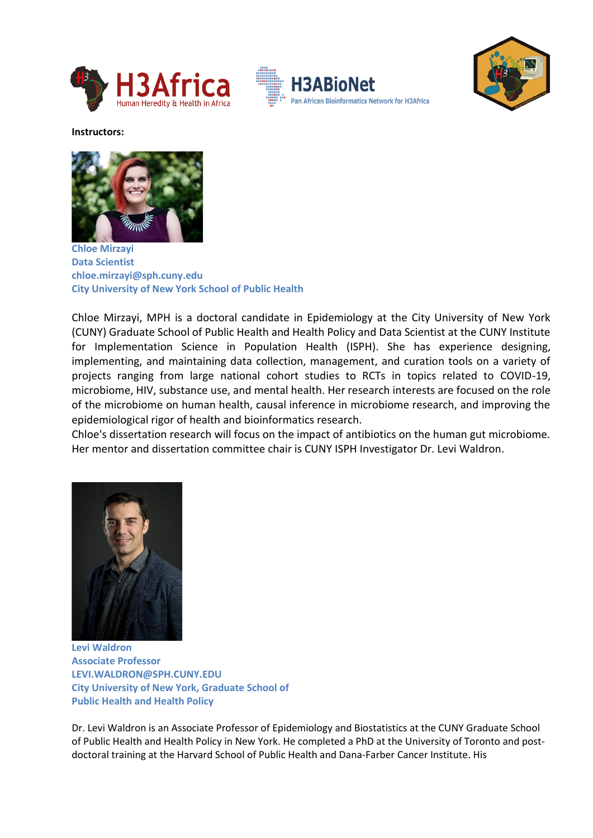





**Instructors:**



**Chloe Mirzayi Data Scientist chloe.mirzayi@sph.cuny.edu City University of New York School of Public Health**

Chloe Mirzayi, MPH is a doctoral candidate in Epidemiology at the City University of New York (CUNY) Graduate School of Public Health and Health Policy and Data Scientist at the CUNY Institute for Implementation Science in Population Health (ISPH). She has experience designing, implementing, and maintaining data collection, management, and curation tools on a variety of projects ranging from large national cohort studies to RCTs in topics related to COVID-19, microbiome, HIV, substance use, and mental health. Her research interests are focused on the role of the microbiome on human health, causal inference in microbiome research, and improving the epidemiological rigor of health and bioinformatics research.

Chloe's dissertation research will focus on the impact of antibiotics on the human gut microbiome. Her mentor and dissertation committee chair is CUNY ISPH Investigator Dr. Levi Waldron.



**Levi Waldron Associate Professor [LEVI.WALDRON@SPH.CUNY.EDU](mailto:LEVI.WALDRON@SPH.CUNY.EDU) City University of New York, Graduate School of Public Health and Health Policy**

Dr. Levi Waldron is an Associate Professor of Epidemiology and Biostatistics at the CUNY Graduate School of Public Health and Health Policy in New York. He completed a PhD at the University of Toronto and postdoctoral training at the Harvard School of Public Health and Dana-Farber Cancer Institute. His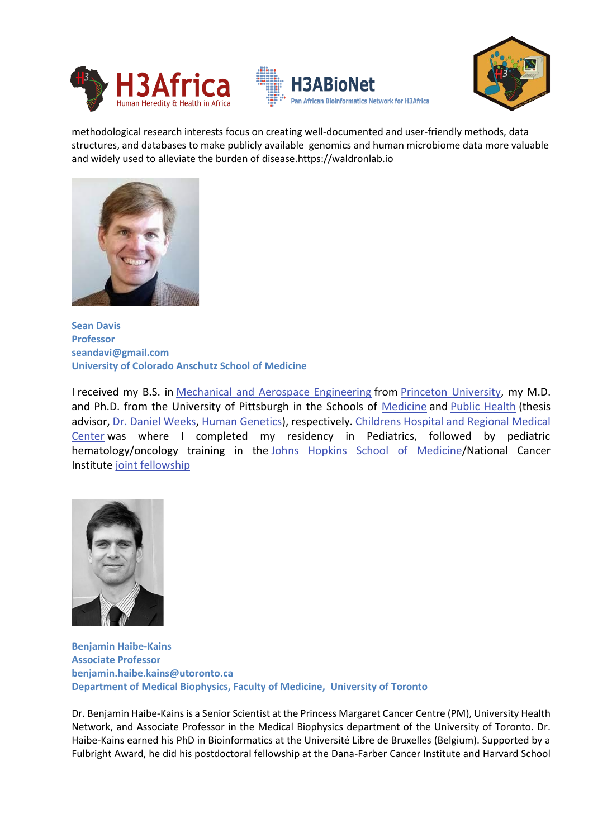





methodological research interests focus on creating well-documented and user-friendly methods, data structures, and databases to make publicly available genomics and human microbiome data more valuable and widely used to alleviate the burden of disease.https://waldronlab.io



**Sean Davis Professor [seandavi@gmail.com](mailto:seandavi@gmail.com) University of Colorado Anschutz School of Medicine**

I received my B.S. in [Mechanical and Aerospace Engineering](https://mae.princeton.edu/) from [Princeton University,](https://www.princeton.edu/) my M.D. and Ph.D. from the University of Pittsburgh in the Schools of [Medicine](https://www.medschool.pitt.edu/) and [Public Health](https://www.publichealth.pitt.edu/) (thesis advisor, [Dr. Daniel Weeks,](https://www.publichealth.pitt.edu/home/directory/daniel-e-weeks) [Human Genetics\)](https://www.publichealth.pitt.edu/hugen), respectively. [Childrens Hospital and Regional Medical](https://www.seattlechildrens.org/)  [Center](https://www.seattlechildrens.org/) was where I completed my residency in Pediatrics, followed by pediatric hematology/oncology training in the [Johns Hopkins School of Medicine/](https://www.hopkinsmedicine.org/)National Cancer Institute [joint fellowship](https://www.hopkinsmedicine.org/kimmel_cancer_center/education_training/fellowships/pediatric_hematology_oncology/index.html)



**Benjamin Haibe-Kains Associate Professor [benjamin.haibe.kains@utoronto.ca](mailto:benjamin.haibe.kains@utoronto.ca) Department of Medical Biophysics, Faculty of Medicine, University of Toronto**

Dr. Benjamin Haibe-Kains is a Senior Scientist at the Princess Margaret Cancer Centre (PM), University Health Network, and Associate Professor in the Medical Biophysics department of the University of Toronto. Dr. Haibe-Kains earned his PhD in Bioinformatics at the Université Libre de Bruxelles (Belgium). Supported by a Fulbright Award, he did his postdoctoral fellowship at the Dana-Farber Cancer Institute and Harvard School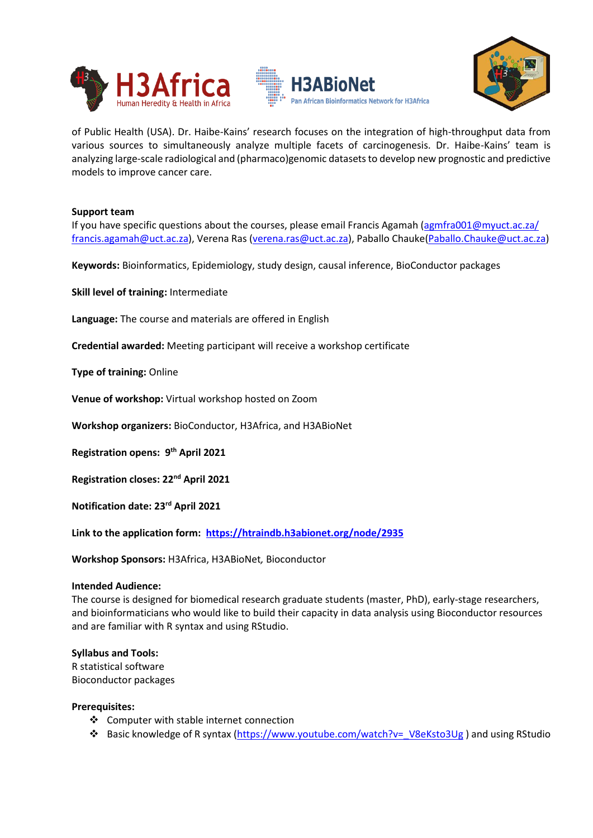





of Public Health (USA). Dr. Haibe-Kains' research focuses on the integration of high-throughput data from various sources to simultaneously analyze multiple facets of carcinogenesis. Dr. Haibe-Kains' team is analyzing large-scale radiological and (pharmaco)genomic datasets to develop new prognostic and predictive models to improve cancer care.

## **Support team**

If you have specific questions about the courses, please email Francis Agamah [\(agmfra001@myuct.ac.za/](mailto:agmfra001@myuct.ac.za/) [francis.agamah@uct.ac.za\)](mailto:francis.agamah@uct.ac.za), Verena Ras [\(verena.ras@uct.ac.za\)](mailto:verena.ras@uct.ac.za), Paballo Chauke[\(Paballo.Chauke@uct.ac.za\)](mailto:Paballo.Chauke@uct.ac.za)

**Keywords:** Bioinformatics, Epidemiology, study design, causal inference, BioConductor packages

**Skill level of training:** Intermediate

**Language:** The course and materials are offered in English

**Credential awarded:** Meeting participant will receive a workshop certificate

**Type of training:** Online

**Venue of workshop:** Virtual workshop hosted on Zoom

**Workshop organizers:** BioConductor, H3Africa, and H3ABioNet

**Registration opens: 9 th April 2021**

**Registration closes: 22 nd April 2021**

**Notification date: 23rd April 2021**

**Link to the application form: <https://htraindb.h3abionet.org/node/2935>**

**Workshop Sponsors:** H3Africa, H3ABioNet*,* Bioconductor

#### **Intended Audience:**

The course is designed for biomedical research graduate students (master, PhD), early-stage researchers, and bioinformaticians who would like to build their capacity in data analysis using Bioconductor resources and are familiar with R syntax and using RStudio.

#### **Syllabus and Tools:**

R statistical software Bioconductor packages

#### **Prerequisites:**

- ❖ Computer with stable internet connection
- ❖ Basic knowledge of R syntax [\(https://www.youtube.com/watch?v=\\_V8eKsto3Ug](https://www.youtube.com/watch?v=_V8eKsto3Ug) ) and using RStudio